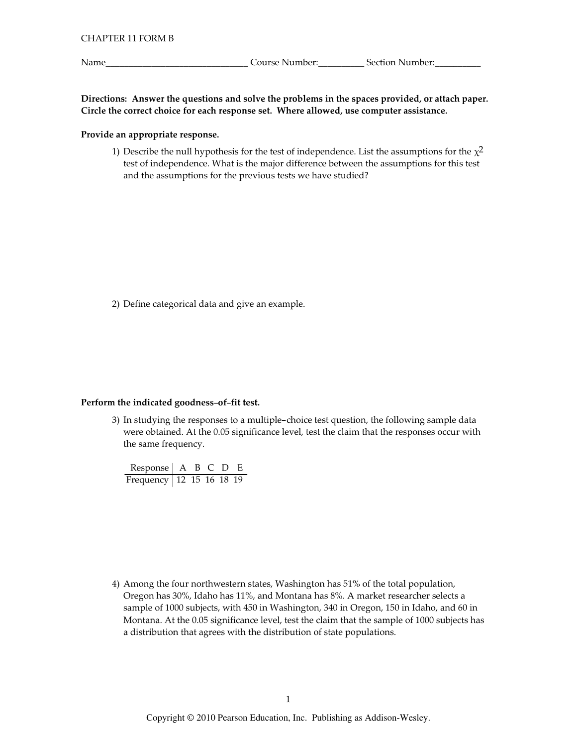Name\_

Directions: Answer the questions and solve the problems in the spaces provided, or attach paper. Circle the correct choice for each response set. Where allowed, use computer assistance.

## Provide an appropriate response.

1) Describe the null hypothesis for the test of independence. List the assumptions for the  $\chi^2$ test of independence. What is the major difference between the assumptions for this test and the assumptions for the previous tests we have studied?

2) Define categorical data and give an example.

## Perform the indicated goodness-of-fit test.

3) In studying the responses to a multiple-choice test question, the following sample data were obtained. At the 0.05 significance level, test the claim that the responses occur with the same frequency.

| Response $A \ B \ C \ D \ E$ |  |  |  |
|------------------------------|--|--|--|
| Frequency 12 15 16 18 19     |  |  |  |

4) Among the four northwestern states, Washington has 51% of the total population, Oregon has 30%, Idaho has 11%, and Montana has 8%. A market researcher selects a sample of 1000 subjects, with 450 in Washington, 340 in Oregon, 150 in Idaho, and 60 in Montana. At the 0.05 significance level, test the claim that the sample of 1000 subjects has a distribution that agrees with the distribution of state populations.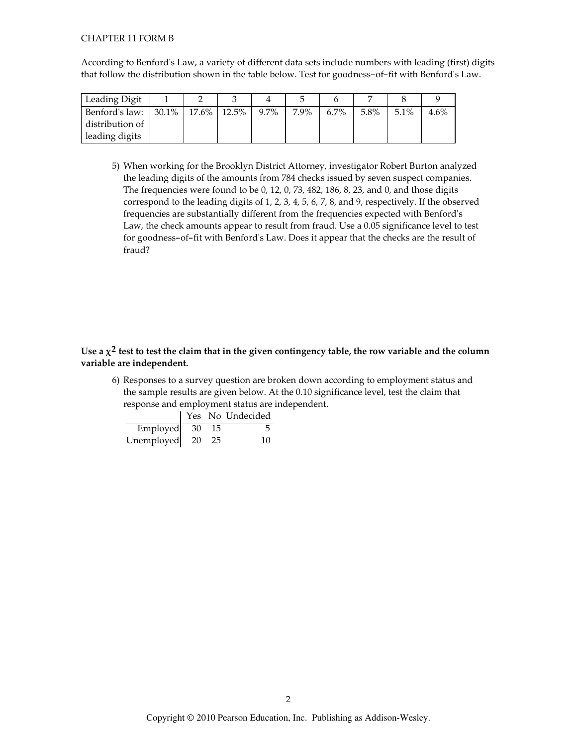## **CHAPTER 11 FORM B**

According to Benford's Law, a variety of different data sets include numbers with leading (first) digits that follow the distribution shown in the table below. Test for goodness-of-fit with Benford's Law.

| Leading Digit   |                      |         |      |         |      |      |         |
|-----------------|----------------------|---------|------|---------|------|------|---------|
| Benford's law:  | $30.1\%$ 17.6% 12.5% | $9.7\%$ | 7.9% | $6.7\%$ | 5.8% | 5.1% | $4.6\%$ |
| distribution of |                      |         |      |         |      |      |         |
| leading digits  |                      |         |      |         |      |      |         |

5) When working for the Brooklyn District Attorney, investigator Robert Burton analyzed the leading digits of the amounts from 784 checks issued by seven suspect companies. The frequencies were found to be 0, 12, 0, 73, 482, 186, 8, 23, and 0, and those digits correspond to the leading digits of 1, 2, 3, 4, 5, 6, 7, 8, and 9, respectively. If the observed frequencies are substantially different from the frequencies expected with Benford's Law, the check amounts appear to result from fraud. Use a 0.05 significance level to test for goodness-of-fit with Benford's Law. Does it appear that the checks are the result of fraud?

## Use a  $\chi^2$  test to test the claim that in the given contingency table, the row variable and the column variable are independent.

6) Responses to a survey question are broken down according to employment status and the sample results are given below. At the 0.10 significance level, test the claim that response and employment status are independent.

|                            |      | Yes No Undecided |
|----------------------------|------|------------------|
| Employed $30\overline{15}$ |      |                  |
| Unemployed 20              | - 25 | 10               |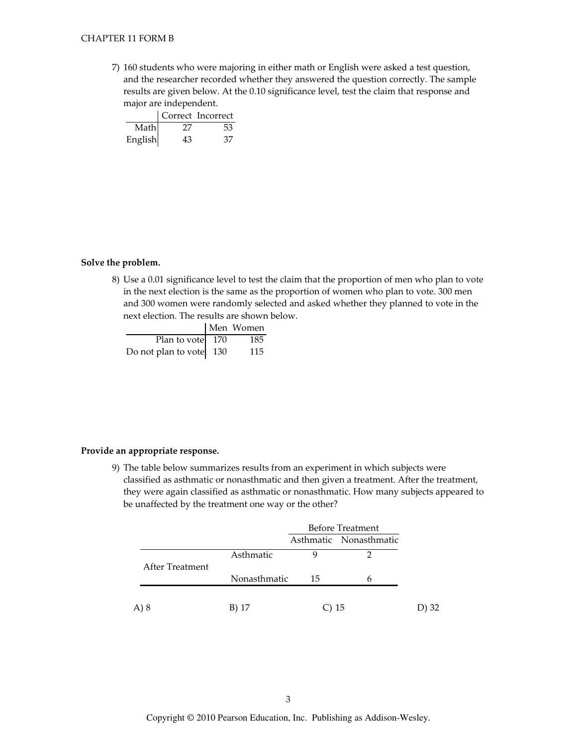7) 160 students who were majoring in either math or English were asked a test question, and the researcher recorded whether they answered the question correctly. The sample results are given below. At the 0.10 significance level, test the claim that response and major are independent.

|         |     | Correct Incorrect |
|---------|-----|-------------------|
| Math    | -27 | 53                |
| English | 43  | 37                |

#### Solve the problem.

8) Use a 0.01 significance level to test the claim that the proportion of men who plan to vote in the next election is the same as the proportion of women who plan to vote. 300 men and 300 women were randomly selected and asked whether they planned to vote in the next election. The results are shown below.

|                         | Men Women |
|-------------------------|-----------|
| Plan to vote $170$      | 185       |
| Do not plan to vote 130 | 115       |

### Provide an appropriate response.

9) The table below summarizes results from an experiment in which subjects were classified as asthmatic or nonasthmatic and then given a treatment. After the treatment, they were again classified as asthmatic or nonasthmatic. How many subjects appeared to be unaffected by the treatment one way or the other?

|                 |              | <b>Before Treatment</b> |                        |
|-----------------|--------------|-------------------------|------------------------|
|                 |              |                         | Asthmatic Nonasthmatic |
| After Treatment | Asthmatic    | Q                       |                        |
|                 | Nonasthmatic | 15                      |                        |
|                 |              |                         |                        |
| A) 8            | B) 17        |                         | 15                     |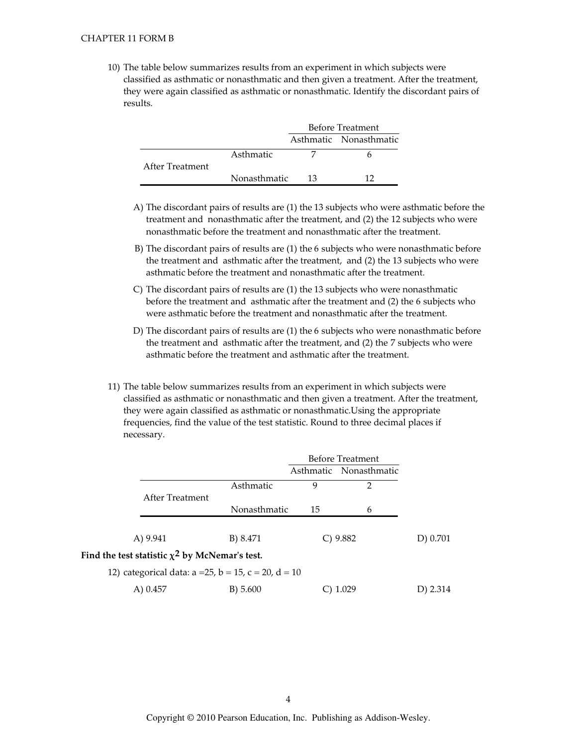10) The table below summarizes results from an experiment in which subjects were classified as asthmatic or nonasthmatic and then given a treatment. After the treatment, they were again classified as asthmatic or nonasthmatic. Identify the discordant pairs of results.

|                 |              | <b>Before Treatment</b> |                        |
|-----------------|--------------|-------------------------|------------------------|
|                 |              |                         | Asthmatic Nonasthmatic |
|                 | Asthmatic    |                         |                        |
| After Treatment |              |                         |                        |
|                 | Nonasthmatic | 13                      |                        |

- A) The discordant pairs of results are (1) the 13 subjects who were asthmatic before the treatment and nonasthmatic after the treatment, and (2) the 12 subjects who were nonasthmatic before the treatment and nonasthmatic after the treatment.
- B) The discordant pairs of results are (1) the 6 subjects who were nonasthmatic before the treatment and asthmatic after the treatment, and (2) the 13 subjects who were asthmatic before the treatment and nonasthmatic after the treatment.
- C) The discordant pairs of results are (1) the 13 subjects who were nonasthmatic before the treatment and asthmatic after the treatment and (2) the 6 subjects who were asthmatic before the treatment and nonasthmatic after the treatment.
- D) The discordant pairs of results are (1) the 6 subjects who were nonasthmatic before the treatment and asthmatic after the treatment, and (2) the 7 subjects who were asthmatic before the treatment and asthmatic after the treatment.
- 11) The table below summarizes results from an experiment in which subjects were classified as asthmatic or nonasthmatic and then given a treatment. After the treatment, they were again classified as asthmatic or nonasthmatic. Using the appropriate frequencies, find the value of the test statistic. Round to three decimal places if necessary.

|                                                                 |              | <b>Before Treatment</b> |                        |          |
|-----------------------------------------------------------------|--------------|-------------------------|------------------------|----------|
|                                                                 |              |                         | Asthmatic Nonasthmatic |          |
|                                                                 | Asthmatic    | 9                       | 2                      |          |
| After Treatment                                                 |              |                         |                        |          |
|                                                                 | Nonasthmatic | 15                      | 6                      |          |
|                                                                 |              |                         |                        |          |
| A) 9.941                                                        | B) 8.471     |                         | $C$ ) 9.882            | D) 0.701 |
| Find the test statistic $\chi^2$ by McNemar's test.             |              |                         |                        |          |
| 12) categorical data: $a = 25$ , $b = 15$ , $c = 20$ , $d = 10$ |              |                         |                        |          |
|                                                                 |              |                         |                        |          |

| A) 0.457 | B) 5.600 | $C)$ 1.029 | D) 2.314 |
|----------|----------|------------|----------|
|          |          |            |          |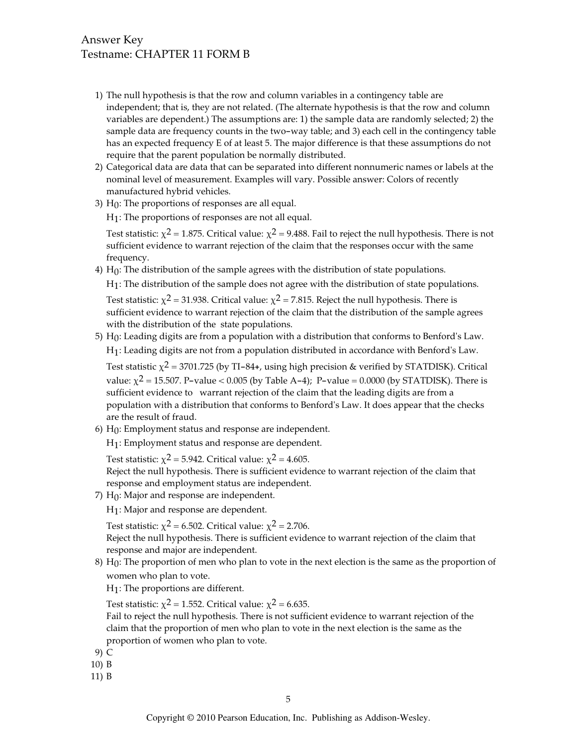# **Answer Key** Testname: CHAPTER 11 FORM B

- 1) The null hypothesis is that the row and column variables in a contingency table are independent; that is, they are not related. (The alternate hypothesis is that the row and column variables are dependent.) The assumptions are: 1) the sample data are randomly selected; 2) the sample data are frequency counts in the two-way table; and 3) each cell in the contingency table has an expected frequency E of at least 5. The major difference is that these assumptions do not require that the parent population be normally distributed.
- 2) Categorical data are data that can be separated into different nonnumeric names or labels at the nominal level of measurement. Examples will vary. Possible answer: Colors of recently manufactured hybrid vehicles.
- 3)  $H_0$ : The proportions of responses are all equal.

H<sub>1</sub>: The proportions of responses are not all equal.

Test statistic:  $\chi^2$  = 1.875. Critical value:  $\chi^2$  = 9.488. Fail to reject the null hypothesis. There is not sufficient evidence to warrant rejection of the claim that the responses occur with the same frequency.

4)  $H_0$ : The distribution of the sample agrees with the distribution of state populations.

H<sub>1</sub>: The distribution of the sample does not agree with the distribution of state populations.

Test statistic:  $\chi^2$  = 31.938. Critical value:  $\chi^2$  = 7.815. Reject the null hypothesis. There is sufficient evidence to warrant rejection of the claim that the distribution of the sample agrees with the distribution of the state populations.

 $5)$  H<sub>0</sub>: Leading digits are from a population with a distribution that conforms to Benford's Law. H<sub>1</sub>: Leading digits are not from a population distributed in accordance with Benford's Law.

Test statistic  $\chi^2$  = 3701.725 (by TI-84+, using high precision & verified by STATDISK). Critical value:  $\chi^2$  = 15.507. P-value < 0.005 (by Table A-4); P-value = 0.0000 (by STATDISK). There is sufficient evidence to warrant rejection of the claim that the leading digits are from a population with a distribution that conforms to Benford's Law. It does appear that the checks are the result of fraud.

 $6)$  H<sub>0</sub>: Employment status and response are independent.

H<sub>1</sub>: Employment status and response are dependent.

Test statistic:  $\chi^2$  = 5.942. Critical value:  $\chi^2$  = 4.605.

Reject the null hypothesis. There is sufficient evidence to warrant rejection of the claim that response and employment status are independent.

 $7)$  H<sub>0</sub>: Major and response are independent.

H<sub>1</sub>: Major and response are dependent.

Test statistic:  $\chi^2$  = 6.502. Critical value:  $\chi^2$  = 2.706.

Reject the null hypothesis. There is sufficient evidence to warrant rejection of the claim that response and major are independent.

8) H<sub>0</sub>: The proportion of men who plan to vote in the next election is the same as the proportion of women who plan to vote.

 $H_1$ : The proportions are different.

Test statistic:  $\chi^2$  = 1.552. Critical value:  $\chi^2$  = 6.635.

Fail to reject the null hypothesis. There is not sufficient evidence to warrant rejection of the claim that the proportion of men who plan to vote in the next election is the same as the proportion of women who plan to vote.

- 9) C
- $10)$  B
- 11) B